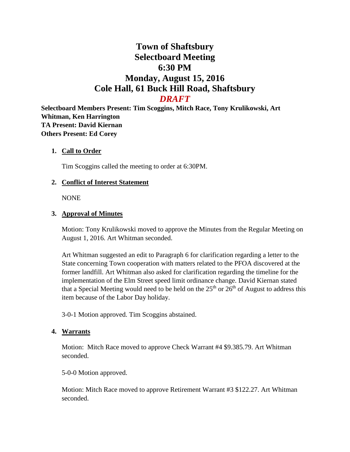# **Town of Shaftsbury Selectboard Meeting 6:30 PM Monday, August 15, 2016 Cole Hall, 61 Buck Hill Road, Shaftsbury** *DRAFT*

**Selectboard Members Present: Tim Scoggins, Mitch Race, Tony Krulikowski, Art Whitman, Ken Harrington TA Present: David Kiernan Others Present: Ed Corey**

### **1. Call to Order**

Tim Scoggins called the meeting to order at 6:30PM.

### **2. Conflict of Interest Statement**

NONE

#### **3. Approval of Minutes**

Motion: Tony Krulikowski moved to approve the Minutes from the Regular Meeting on August 1, 2016. Art Whitman seconded.

Art Whitman suggested an edit to Paragraph 6 for clarification regarding a letter to the State concerning Town cooperation with matters related to the PFOA discovered at the former landfill. Art Whitman also asked for clarification regarding the timeline for the implementation of the Elm Street speed limit ordinance change. David Kiernan stated that a Special Meeting would need to be held on the  $25<sup>th</sup>$  or  $26<sup>th</sup>$  of August to address this item because of the Labor Day holiday.

3-0-1 Motion approved. Tim Scoggins abstained.

#### **4. Warrants**

Motion: Mitch Race moved to approve Check Warrant #4 \$9.385.79. Art Whitman seconded.

5-0-0 Motion approved.

Motion: Mitch Race moved to approve Retirement Warrant #3 \$122.27. Art Whitman seconded.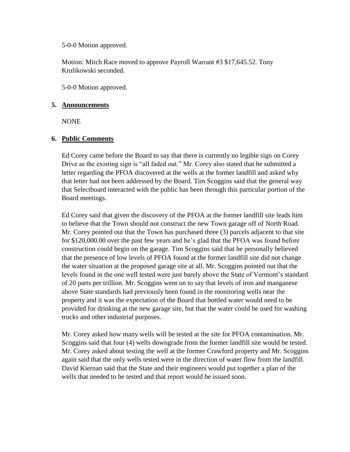5-0-0 Motion approved.

Motion: Mitch Race moved to approve Payroll Warrant #3 \$17,645.52. Tony Krulikowski seconded.

5-0-0 Motion approved.

### **5. Announcements**

NONE

### **6. Public Comments**

Ed Corey came before the Board to say that there is currently no legible sign on Corey Drive as the existing sign is "all faded out." Mr. Corey also stated that he submitted a letter regarding the PFOA discovered at the wells at the former landfill and asked why that letter had not been addressed by the Board. Tim Scoggins said that the general way that Selectboard interacted with the public has been through this particular portion of the Board meetings.

Ed Corey said that given the discovery of the PFOA at the former landfill site leads him to believe that the Town should not construct the new Town garage off of North Road. Mr. Corey pointed out that the Town has purchased three (3) parcels adjacent to that site for \$120,000.00 over the past few years and he's glad that the PFOA was found before construction could begin on the garage. Tim Scoggins said that he personally believed that the presence of low levels of PFOA found at the former landfill site did not change the water situation at the proposed garage site at all. Mr. Scoggins pointed out that the levels found in the one well tested were just barely above the State of Vermont's standard of 20 parts per trillion. Mr. Scoggins went on to say that levels of iron and manganese above State standards had previously been found in the monitoring wells near the property and it was the expectation of the Board that bottled water would need to be provided for drinking at the new garage site, but that the water could be used for washing trucks and other industrial purposes.

Mr. Corey asked how many wells will be tested at the site for PFOA contamination. Mr. Scoggins said that four (4) wells downgrade from the former landfill site would be tested. Mr. Corey asked about testing the well at the former Crawford property and Mr. Scoggins again said that the only wells tested were in the direction of water flow from the landfill. David Kiernan said that the State and their engineers would put together a plan of the wells that needed to be tested and that report would be issued soon.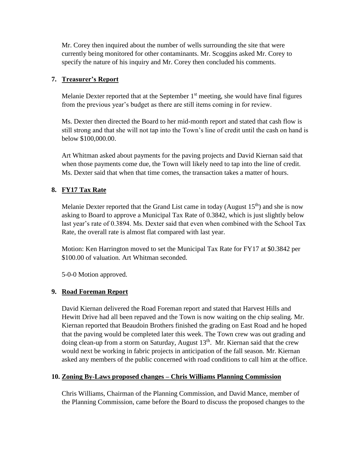Mr. Corey then inquired about the number of wells surrounding the site that were currently being monitored for other contaminants. Mr. Scoggins asked Mr. Corey to specify the nature of his inquiry and Mr. Corey then concluded his comments.

# **7. Treasurer's Report**

Melanie Dexter reported that at the September  $1<sup>st</sup>$  meeting, she would have final figures from the previous year's budget as there are still items coming in for review.

Ms. Dexter then directed the Board to her mid-month report and stated that cash flow is still strong and that she will not tap into the Town's line of credit until the cash on hand is below \$100,000.00.

Art Whitman asked about payments for the paving projects and David Kiernan said that when those payments come due, the Town will likely need to tap into the line of credit. Ms. Dexter said that when that time comes, the transaction takes a matter of hours.

# **8. FY17 Tax Rate**

Melanie Dexter reported that the Grand List came in today (August  $15<sup>th</sup>$ ) and she is now asking to Board to approve a Municipal Tax Rate of 0.3842, which is just slightly below last year's rate of 0.3894. Ms. Dexter said that even when combined with the School Tax Rate, the overall rate is almost flat compared with last year.

Motion: Ken Harrington moved to set the Municipal Tax Rate for FY17 at \$0.3842 per \$100.00 of valuation. Art Whitman seconded.

5-0-0 Motion approved.

# **9. Road Foreman Report**

David Kiernan delivered the Road Foreman report and stated that Harvest Hills and Hewitt Drive had all been repaved and the Town is now waiting on the chip sealing. Mr. Kiernan reported that Beaudoin Brothers finished the grading on East Road and he hoped that the paving would be completed later this week. The Town crew was out grading and doing clean-up from a storm on Saturday, August  $13<sup>th</sup>$ . Mr. Kiernan said that the crew would next be working in fabric projects in anticipation of the fall season. Mr. Kiernan asked any members of the public concerned with road conditions to call him at the office.

# **10. Zoning By-Laws proposed changes – Chris Williams Planning Commission**

Chris Williams, Chairman of the Planning Commission, and David Mance, member of the Planning Commission, came before the Board to discuss the proposed changes to the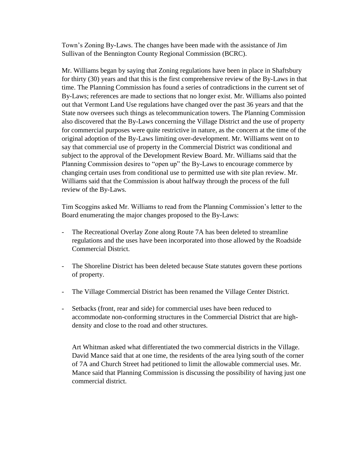Town's Zoning By-Laws. The changes have been made with the assistance of Jim Sullivan of the Bennington County Regional Commission (BCRC).

Mr. Williams began by saying that Zoning regulations have been in place in Shaftsbury for thirty (30) years and that this is the first comprehensive review of the By-Laws in that time. The Planning Commission has found a series of contradictions in the current set of By-Laws; references are made to sections that no longer exist. Mr. Williams also pointed out that Vermont Land Use regulations have changed over the past 36 years and that the State now oversees such things as telecommunication towers. The Planning Commission also discovered that the By-Laws concerning the Village District and the use of property for commercial purposes were quite restrictive in nature, as the concern at the time of the original adoption of the By-Laws limiting over-development. Mr. Williams went on to say that commercial use of property in the Commercial District was conditional and subject to the approval of the Development Review Board. Mr. Williams said that the Planning Commission desires to "open up" the By-Laws to encourage commerce by changing certain uses from conditional use to permitted use with site plan review. Mr. Williams said that the Commission is about halfway through the process of the full review of the By-Laws.

Tim Scoggins asked Mr. Williams to read from the Planning Commission's letter to the Board enumerating the major changes proposed to the By-Laws:

- The Recreational Overlay Zone along Route 7A has been deleted to streamline regulations and the uses have been incorporated into those allowed by the Roadside Commercial District.
- The Shoreline District has been deleted because State statutes govern these portions of property.
- The Village Commercial District has been renamed the Village Center District.
- Setbacks (front, rear and side) for commercial uses have been reduced to accommodate non-conforming structures in the Commercial District that are highdensity and close to the road and other structures.

Art Whitman asked what differentiated the two commercial districts in the Village. David Mance said that at one time, the residents of the area lying south of the corner of 7A and Church Street had petitioned to limit the allowable commercial uses. Mr. Mance said that Planning Commission is discussing the possibility of having just one commercial district.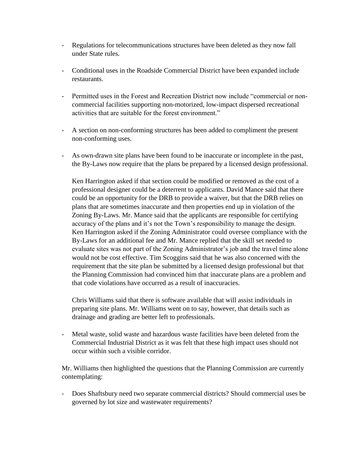- Regulations for telecommunications structures have been deleted as they now fall under State rules.
- Conditional uses in the Roadside Commercial District have been expanded include restaurants.
- Permitted uses in the Forest and Recreation District now include "commercial or noncommercial facilities supporting non-motorized, low-impact dispersed recreational activities that are suitable for the forest environment."
- A section on non-conforming structures has been added to compliment the present non-conforming uses.
- As own-drawn site plans have been found to be inaccurate or incomplete in the past, the By-Laws now require that the plans be prepared by a licensed design professional.

Ken Harrington asked if that section could be modified or removed as the cost of a professional designer could be a deterrent to applicants. David Mance said that there could be an opportunity for the DRB to provide a waiver, but that the DRB relies on plans that are sometimes inaccurate and then properties end up in violation of the Zoning By-Laws. Mr. Mance said that the applicants are responsible for certifying accuracy of the plans and it's not the Town's responsibility to manage the design. Ken Harrington asked if the Zoning Administrator could oversee compliance with the By-Laws for an additional fee and Mr. Mance replied that the skill set needed to evaluate sites was not part of the Zoning Administrator's job and the travel time alone would not be cost effective. Tim Scoggins said that he was also concerned with the requirement that the site plan be submitted by a licensed design professional but that the Planning Commission had convinced him that inaccurate plans are a problem and that code violations have occurred as a result of inaccuracies.

Chris Williams said that there is software available that will assist individuals in preparing site plans. Mr. Williams went on to say, however, that details such as drainage and grading are better left to professionals.

- Metal waste, solid waste and hazardous waste facilities have been deleted from the Commercial Industrial District as it was felt that these high impact uses should not occur within such a visible corridor.

Mr. Williams then highlighted the questions that the Planning Commission are currently contemplating:

- Does Shaftsbury need two separate commercial districts? Should commercial uses be governed by lot size and wastewater requirements?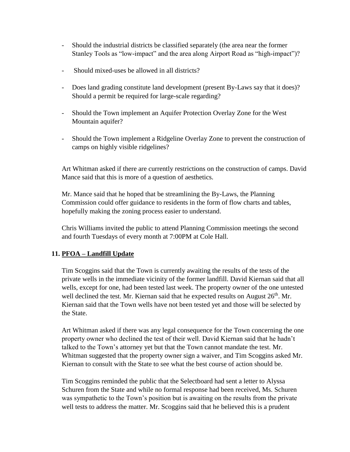- Should the industrial districts be classified separately (the area near the former Stanley Tools as "low-impact" and the area along Airport Road as "high-impact")?
- Should mixed-uses be allowed in all districts?
- Does land grading constitute land development (present By-Laws say that it does)? Should a permit be required for large-scale regarding?
- Should the Town implement an Aquifer Protection Overlay Zone for the West Mountain aquifer?
- Should the Town implement a Ridgeline Overlay Zone to prevent the construction of camps on highly visible ridgelines?

Art Whitman asked if there are currently restrictions on the construction of camps. David Mance said that this is more of a question of aesthetics.

Mr. Mance said that he hoped that be streamlining the By-Laws, the Planning Commission could offer guidance to residents in the form of flow charts and tables, hopefully making the zoning process easier to understand.

Chris Williams invited the public to attend Planning Commission meetings the second and fourth Tuesdays of every month at 7:00PM at Cole Hall.

# **11. PFOA – Landfill Update**

Tim Scoggins said that the Town is currently awaiting the results of the tests of the private wells in the immediate vicinity of the former landfill. David Kiernan said that all wells, except for one, had been tested last week. The property owner of the one untested well declined the test. Mr. Kiernan said that he expected results on August  $26<sup>th</sup>$ . Mr. Kiernan said that the Town wells have not been tested yet and those will be selected by the State.

Art Whitman asked if there was any legal consequence for the Town concerning the one property owner who declined the test of their well. David Kiernan said that he hadn't talked to the Town's attorney yet but that the Town cannot mandate the test. Mr. Whitman suggested that the property owner sign a waiver, and Tim Scoggins asked Mr. Kiernan to consult with the State to see what the best course of action should be.

Tim Scoggins reminded the public that the Selectboard had sent a letter to Alyssa Schuren from the State and while no formal response had been received, Ms. Schuren was sympathetic to the Town's position but is awaiting on the results from the private well tests to address the matter. Mr. Scoggins said that he believed this is a prudent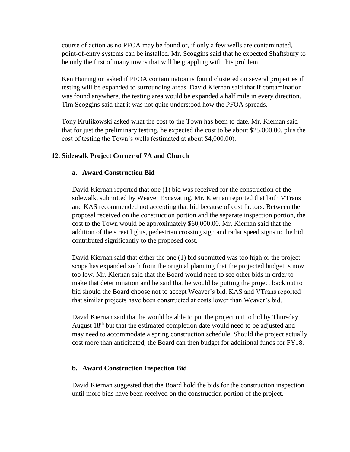course of action as no PFOA may be found or, if only a few wells are contaminated, point-of-entry systems can be installed. Mr. Scoggins said that he expected Shaftsbury to be only the first of many towns that will be grappling with this problem.

Ken Harrington asked if PFOA contamination is found clustered on several properties if testing will be expanded to surrounding areas. David Kiernan said that if contamination was found anywhere, the testing area would be expanded a half mile in every direction. Tim Scoggins said that it was not quite understood how the PFOA spreads.

Tony Krulikowski asked what the cost to the Town has been to date. Mr. Kiernan said that for just the preliminary testing, he expected the cost to be about \$25,000.00, plus the cost of testing the Town's wells (estimated at about \$4,000.00).

# **12. Sidewalk Project Corner of 7A and Church**

### **a. Award Construction Bid**

David Kiernan reported that one (1) bid was received for the construction of the sidewalk, submitted by Weaver Excavating. Mr. Kiernan reported that both VTrans and KAS recommended not accepting that bid because of cost factors. Between the proposal received on the construction portion and the separate inspection portion, the cost to the Town would be approximately \$60,000.00. Mr. Kiernan said that the addition of the street lights, pedestrian crossing sign and radar speed signs to the bid contributed significantly to the proposed cost.

David Kiernan said that either the one (1) bid submitted was too high or the project scope has expanded such from the original planning that the projected budget is now too low. Mr. Kiernan said that the Board would need to see other bids in order to make that determination and he said that he would be putting the project back out to bid should the Board choose not to accept Weaver's bid. KAS and VTrans reported that similar projects have been constructed at costs lower than Weaver's bid.

David Kiernan said that he would be able to put the project out to bid by Thursday, August 18<sup>th</sup> but that the estimated completion date would need to be adjusted and may need to accommodate a spring construction schedule. Should the project actually cost more than anticipated, the Board can then budget for additional funds for FY18.

#### **b. Award Construction Inspection Bid**

David Kiernan suggested that the Board hold the bids for the construction inspection until more bids have been received on the construction portion of the project.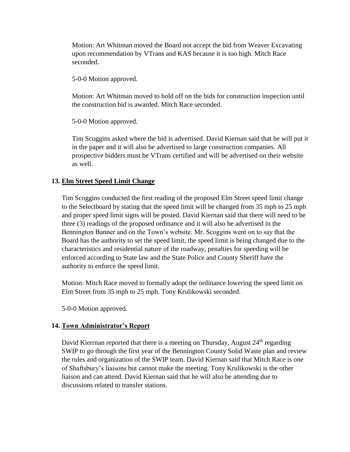Motion: Art Whitman moved the Board not accept the bid from Weaver Excavating upon recommendation by VTrans and KAS because it is too high. Mitch Race seconded.

5-0-0 Motion approved.

Motion: Art Whitman moved to hold off on the bids for construction inspection until the construction bid is awarded. Mitch Race seconded.

5-0-0 Motion approved.

Tim Scoggins asked where the bid is advertised. David Kiernan said that he will put it in the paper and it will also be advertised to large construction companies. All prospective bidders must be VTrans certified and will be advertised on their website as well.

# **13. Elm Street Speed Limit Change**

Tim Scoggins conducted the first reading of the proposed Elm Street speed limit change to the Selectboard by stating that the speed limit will be changed from 35 mph to 25 mph and proper speed limit signs will be posted. David Kiernan said that there will need to be three (3) readings of the proposed ordinance and it will also be advertised in the Bennington Banner and on the Town's website. Mr. Scoggins went on to say that the Board has the authority to set the speed limit, the speed limit is being changed due to the characteristics and residential nature of the roadway, penalties for speeding will be enforced according to State law and the State Police and County Sheriff have the authority to enforce the speed limit.

Motion: Mitch Race moved to formally adopt the ordinance lowering the speed limit on Elm Street from 35 mph to 25 mph. Tony Krulikowski seconded.

5-0-0 Motion approved.

### **14. Town Administrator's Report**

David Kierrnan reported that there is a meeting on Thursday, August 24<sup>th</sup> regarding SWIP to go through the first year of the Bennington County Solid Waste plan and review the rules and organization of the SWIP team. David Kiernan said that Mitch Race is one of Shaftsbury's liaisons but cannot make the meeting. Tony Krulikowski is the other liaison and can attend. David Kiernan said that he will also be attending due to discussions related to transfer stations.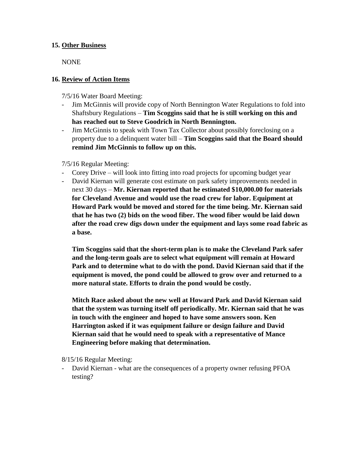### **15. Other Business**

NONE

# **16. Review of Action Items**

7/5/16 Water Board Meeting:

- Jim McGinnis will provide copy of North Bennington Water Regulations to fold into Shaftsbury Regulations – **Tim Scoggins said that he is still working on this and has reached out to Steve Goodrich in North Bennington.**
- Jim McGinnis to speak with Town Tax Collector about possibly foreclosing on a property due to a delinquent water bill – **Tim Scoggins said that the Board should remind Jim McGinnis to follow up on this.**

7/5/16 Regular Meeting:

- Corey Drive will look into fitting into road projects for upcoming budget year
- David Kiernan will generate cost estimate on park safety improvements needed in next 30 days – **Mr. Kiernan reported that he estimated \$10,000.00 for materials for Cleveland Avenue and would use the road crew for labor. Equipment at Howard Park would be moved and stored for the time being. Mr. Kiernan said that he has two (2) bids on the wood fiber. The wood fiber would be laid down after the road crew digs down under the equipment and lays some road fabric as a base.**

**Tim Scoggins said that the short-term plan is to make the Cleveland Park safer and the long-term goals are to select what equipment will remain at Howard Park and to determine what to do with the pond. David Kiernan said that if the equipment is moved, the pond could be allowed to grow over and returned to a more natural state. Efforts to drain the pond would be costly.**

**Mitch Race asked about the new well at Howard Park and David Kiernan said that the system was turning itself off periodically. Mr. Kiernan said that he was in touch with the engineer and hoped to have some answers soon. Ken Harrington asked if it was equipment failure or design failure and David Kiernan said that he would need to speak with a representative of Mance Engineering before making that determination.**

8/15/16 Regular Meeting:

- David Kiernan - what are the consequences of a property owner refusing PFOA testing?